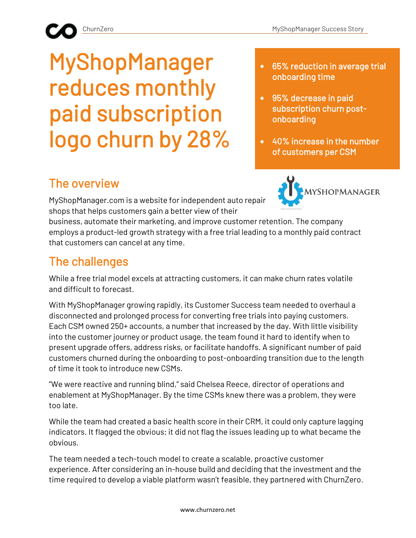# MyShopManager reduces monthly paid subscription logo churn by 28%

- 65% reduction in average trial onboarding time
- 95% decrease in paid subscription churn postonboarding
- 40% increase in the number of customers per CSM

## The overview

MyShopManager.com is a website for independent auto repair shops that helps customers gain a better view of their



business, automate their marketing, and improve customer retention. The company employs a product-led growth strategy with a free trial leading to a monthly paid contract that customers can cancel at any time.

## The challenges

While a free trial model excels at attracting customers, it can make churn rates volatile and difficult to forecast.

With MyShopManager growing rapidly, its Customer Success team needed to overhaul a disconnected and prolonged process for converting free trials into paying customers. Each CSM owned 250+ accounts, a number that increased by the day. With little visibility into the customer journey or product usage, the team found it hard to identify when to present upgrade offers, address risks, or facilitate handoffs. A significant number of paid customers churned during the onboarding to post-onboarding transition due to the length of time it took to introduce new CSMs.

"We were reactive and running blind," said Chelsea Reece, director of operations and enablement at MyShopManager. By the time CSMs knew there was a problem, they were too late.

While the team had created a basic health score in their CRM, it could only capture lagging indicators. It flagged the obvious; it did not flag the issues leading up to what became the obvious.

The team needed a tech-touch model to create a scalable, proactive customer experience. After considering an in-house build and deciding that the investment and the time required to develop a viable platform wasn't feasible, they partnered with ChurnZero.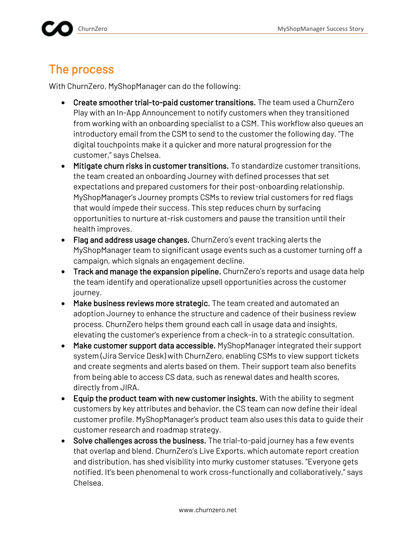### The process

With ChurnZero, MyShopManager can do the following:

- Create smoother trial-to-paid customer transitions. The team used a ChurnZero Play with an In-App Announcement to notify customers when they transitioned from working with an onboarding specialist to a CSM. This workflow also queues an introductory email from the CSM to send to the customer the following day. "The digital touchpoints make it a quicker and more natural progression for the customer," says Chelsea.
- Mitigate churn risks in customer transitions. To standardize customer transitions, the team created an onboarding Journey with defined processes that set expectations and prepared customers for their post-onboarding relationship. MyShopManager's Journey prompts CSMs to review trial customers for red flags that would impede their success. This step reduces churn by surfacing opportunities to nurture at-risk customers and pause the transition until their health improves.
- Flag and address usage changes. ChurnZero's event tracking alerts the MyShopManager team to significant usage events such as a customer turning off a campaign, which signals an engagement decline.
- Track and manage the expansion pipeline. ChurnZero's reports and usage data help the team identify and operationalize upsell opportunities across the customer journey.
- Make business reviews more strategic. The team created and automated an adoption Journey to enhance the structure and cadence of their business review process. ChurnZero helps them ground each call in usage data and insights, elevating the customer's experience from a check-in to a strategic consultation.
- Make customer support data accessible. MyShopManager integrated their support system (Jira Service Desk) with ChurnZero, enabling CSMs to view support tickets and create segments and alerts based on them. Their support team also benefits from being able to access CS data, such as renewal dates and health scores, directly from JIRA.
- Equip the product team with new customer insights. With the ability to segment customers by key attributes and behavior, the CS team can now define their ideal customer profile. MyShopManager's product team also uses this data to guide their customer research and roadmap strategy.
- Solve challenges across the business. The trial-to-paid journey has a few events that overlap and blend. ChurnZero's Live Exports, which automate report creation and distribution, has shed visibility into murky customer statuses. "Everyone gets notified. It's been phenomenal to work cross-functionally and collaboratively," says Chelsea.